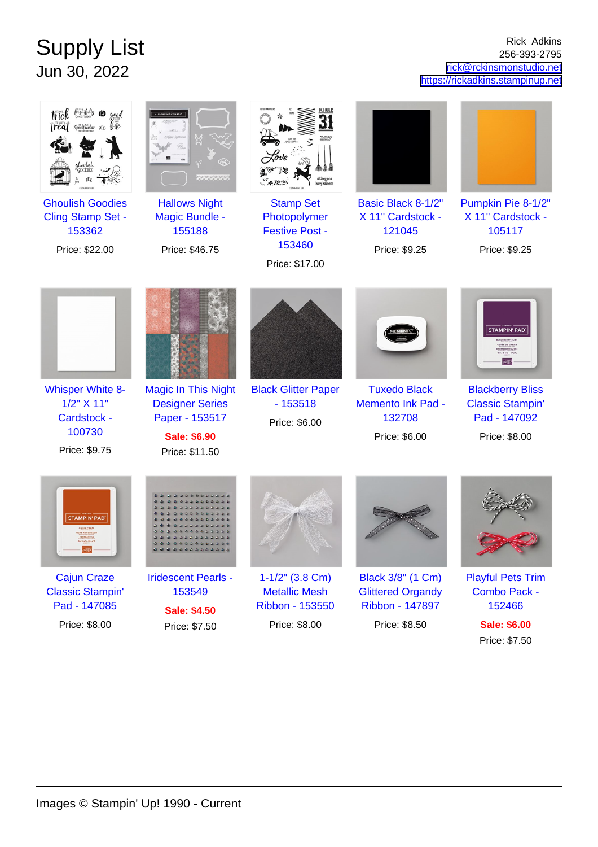## Supply List Jun 30, 2022

Rick Adkins 256-393-2795 [rick@rckinsmonstudio.net](mailto:rick@rckinsmonstudio.net) <https://rickadkins.stampinup.net>

Price: \$7.50

| Ireal<br><b>Ghoulish Goodies</b>                                                | <b>Hallows Night</b>                                                                                            | <b>Stamp Set</b>                                         | Basic Black 8-1/2"                                                         | Pumpkin Pie 8-1/2"                                                                                                                                |
|---------------------------------------------------------------------------------|-----------------------------------------------------------------------------------------------------------------|----------------------------------------------------------|----------------------------------------------------------------------------|---------------------------------------------------------------------------------------------------------------------------------------------------|
| Cling Stamp Set -                                                               | <b>Magic Bundle -</b>                                                                                           | Photopolymer                                             | X 11" Cardstock -                                                          | X 11" Cardstock -                                                                                                                                 |
| 153362<br>Price: \$22.00                                                        | 155188<br>Price: \$46.75                                                                                        | <b>Festive Post -</b><br>153460                          | 121045<br>Price: \$9.25                                                    | 105117<br>Price: \$9.25                                                                                                                           |
|                                                                                 |                                                                                                                 | Price: \$17.00                                           |                                                                            |                                                                                                                                                   |
| <b>Whisper White 8-</b><br>1/2" X 11"<br>Cardstock -<br>100730<br>Price: \$9.75 | <b>Magic In This Night</b><br><b>Designer Series</b><br>Paper - 153517<br><b>Sale: \$6.90</b><br>Price: \$11.50 | <b>Black Glitter Paper</b><br>$-153518$<br>Price: \$6.00 | <b>Tuxedo Black</b><br><b>Memento Ink Pad -</b><br>132708<br>Price: \$6.00 | <b>STAMPIN' PAD</b><br><b>UVÉE DE CASSI</b><br>ブラックペリー・プリス<br><b>Blackberry Bliss</b><br><b>Classic Stampin'</b><br>Pad - 147092<br>Price: \$8.00 |
| <b>STAMPIN' PAD</b>                                                             |                                                                                                                 |                                                          |                                                                            |                                                                                                                                                   |
| <b>Cajun Craze</b>                                                              | <b>Iridescent Pearls -</b>                                                                                      | $1 - 1/2$ " (3.8 Cm)                                     | Black 3/8" (1 Cm)                                                          | <b>Playful Pets Trim</b>                                                                                                                          |
| <b>Classic Stampin'</b><br>Pad - 147085                                         | 153549                                                                                                          | <b>Metallic Mesh</b><br>Ribbon - 153550                  | <b>Glittered Organdy</b><br>Ribbon - 147897                                | Combo Pack -<br>152466                                                                                                                            |
| Price: \$8.00                                                                   | <b>Sale: \$4.50</b><br>Price: \$7.50                                                                            | Price: \$8.00                                            | Price: \$8.50                                                              | <b>Sale: \$6.00</b>                                                                                                                               |